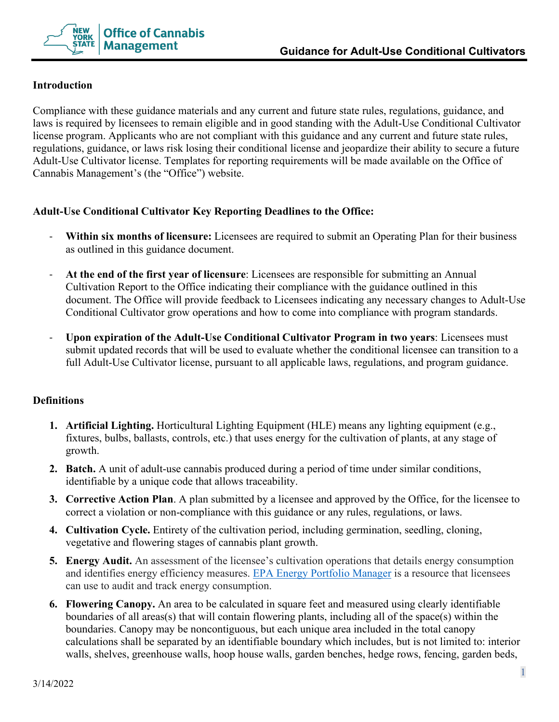

## **Introduction**

Compliance with these guidance materials and any current and future state rules, regulations, guidance, and laws is required by licensees to remain eligible and in good standing with the Adult-Use Conditional Cultivator license program. Applicants who are not compliant with this guidance and any current and future state rules, regulations, guidance, or laws risk losing their conditional license and jeopardize their ability to secure a future Adult-Use Cultivator license. Templates for reporting requirements will be made available on the Office of Cannabis Management's (the "Office") website.

# **Adult-Use Conditional Cultivator Key Reporting Deadlines to the Office:**

- **Within six months of licensure:** Licensees are required to submit an Operating Plan for their business as outlined in this guidance document.
- **At the end of the first year of licensure**: Licensees are responsible for submitting an Annual Cultivation Report to the Office indicating their compliance with the guidance outlined in this document. The Office will provide feedback to Licensees indicating any necessary changes to Adult-Use Conditional Cultivator grow operations and how to come into compliance with program standards.
- **Upon expiration of the Adult-Use Conditional Cultivator Program in two years**: Licensees must submit updated records that will be used to evaluate whether the conditional licensee can transition to a full Adult-Use Cultivator license, pursuant to all applicable laws, regulations, and program guidance.

### **Definitions**

- **1. Artificial Lighting.** Horticultural Lighting Equipment (HLE) means any lighting equipment (e.g., fixtures, bulbs, ballasts, controls, etc.) that uses energy for the cultivation of plants, at any stage of growth.
- **2. Batch.** A unit of adult-use cannabis produced during a period of time under similar conditions, identifiable by a unique code that allows traceability.
- **3. Corrective Action Plan**. A plan submitted by a licensee and approved by the Office, for the licensee to correct a violation or non-compliance with this guidance or any rules, regulations, or laws.
- **4. Cultivation Cycle.** Entirety of the cultivation period, including germination, seedling, cloning, vegetative and flowering stages of cannabis plant growth.
- **5. Energy Audit.** An assessment of the licensee's cultivation operations that details energy consumption and identifies energy efficiency measures. [EPA Energy Portfolio Manager](https://portfoliomanager.energystar.gov/pm/login.html) is a resource that licensees can use to audit and track energy consumption.
- **6. Flowering Canopy.** An area to be calculated in square feet and measured using clearly identifiable boundaries of all areas(s) that will contain flowering plants, including all of the space(s) within the boundaries. Canopy may be noncontiguous, but each unique area included in the total canopy calculations shall be separated by an identifiable boundary which includes, but is not limited to: interior walls, shelves, greenhouse walls, hoop house walls, garden benches, hedge rows, fencing, garden beds,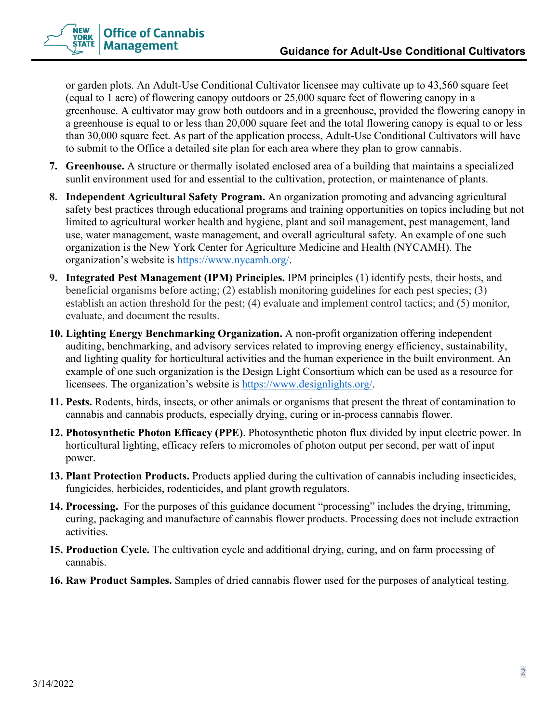

or garden plots. An Adult-Use Conditional Cultivator licensee may cultivate up to 43,560 square feet (equal to 1 acre) of flowering canopy outdoors or 25,000 square feet of flowering canopy in a greenhouse. A cultivator may grow both outdoors and in a greenhouse, provided the flowering canopy in a greenhouse is equal to or less than 20,000 square feet and the total flowering canopy is equal to or less than 30,000 square feet. As part of the application process, Adult-Use Conditional Cultivators will have to submit to the Office a detailed site plan for each area where they plan to grow cannabis.

- **7. Greenhouse.** A structure or thermally isolated enclosed area of a building that maintains a specialized sunlit environment used for and essential to the cultivation, protection, or maintenance of plants.
- **8. Independent Agricultural Safety Program.** An organization promoting and advancing agricultural safety best practices through educational programs and training opportunities on topics including but not limited to agricultural worker health and hygiene, plant and soil management, pest management, land use, water management, waste management, and overall agricultural safety. An example of one such organization is the New York Center for Agriculture Medicine and Health (NYCAMH). The organization's website is [https://www.nycamh.org/.](https://www.nycamh.org/)
- **9. Integrated Pest Management (IPM) Principles.** IPM principles (1) identify pests, their hosts, and beneficial organisms before acting; (2) establish monitoring guidelines for each pest species; (3) establish an action threshold for the pest; (4) evaluate and implement control tactics; and (5) monitor, evaluate, and document the results.
- **10. Lighting Energy Benchmarking Organization.** A non-profit organization offering independent auditing, benchmarking, and advisory services related to improving energy efficiency, sustainability, and lighting quality for horticultural activities and the human experience in the built environment. An example of one such organization is the Design Light Consortium which can be used as a resource for licensees. The organization's website is [https://www.designlights.org/.](https://www.designlights.org/)
- **11. Pests.** Rodents, birds, insects, or other animals or organisms that present the threat of contamination to cannabis and cannabis products, especially drying, curing or in-process cannabis flower.
- **12. Photosynthetic Photon Efficacy (PPE)**. Photosynthetic photon flux divided by input electric power. In horticultural lighting, efficacy refers to micromoles of photon output per second, per watt of input power.
- **13. Plant Protection Products.** Products applied during the cultivation of cannabis including insecticides, fungicides, herbicides, rodenticides, and plant growth regulators.
- **14. Processing.** For the purposes of this guidance document "processing" includes the drying, trimming, curing, packaging and manufacture of cannabis flower products. Processing does not include extraction activities.
- **15. Production Cycle.** The cultivation cycle and additional drying, curing, and on farm processing of cannabis.
- **16. Raw Product Samples.** Samples of dried cannabis flower used for the purposes of analytical testing.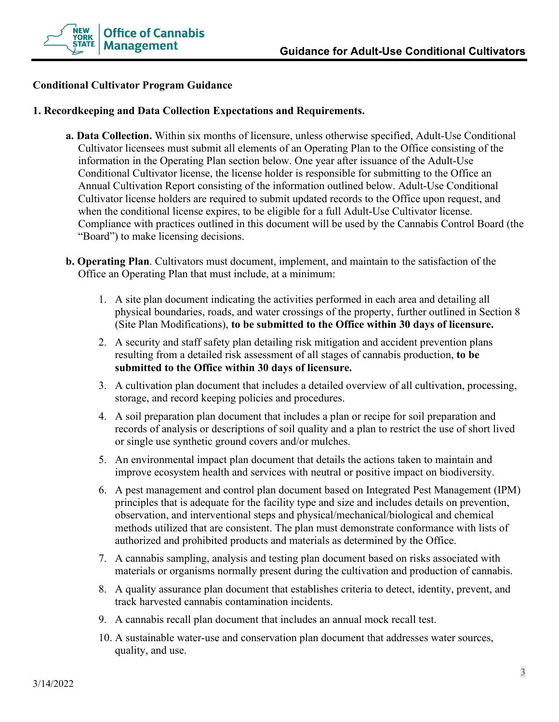

### **Conditional Cultivator Program Guidance**

#### **1. Recordkeeping and Data Collection Expectations and Requirements.**

- **a. Data Collection.** Within six months of licensure, unless otherwise specified, Adult-Use Conditional Cultivator licensees must submit all elements of an Operating Plan to the Office consisting of the information in the Operating Plan section below. One year after issuance of the Adult-Use Conditional Cultivator license, the license holder is responsible for submitting to the Office an Annual Cultivation Report consisting of the information outlined below. Adult-Use Conditional Cultivator license holders are required to submit updated records to the Office upon request, and when the conditional license expires, to be eligible for a full Adult-Use Cultivator license. Compliance with practices outlined in this document will be used by the Cannabis Control Board (the "Board") to make licensing decisions.
- **b. Operating Plan**. Cultivators must document, implement, and maintain to the satisfaction of the Office an Operating Plan that must include, at a minimum:
	- 1. A site plan document indicating the activities performed in each area and detailing all physical boundaries, roads, and water crossings of the property, further outlined in Section 8 (Site Plan Modifications), **to be submitted to the Office within 30 days of licensure.**
	- 2. A security and staff safety plan detailing risk mitigation and accident prevention plans resulting from a detailed risk assessment of all stages of cannabis production, **to be submitted to the Office within 30 days of licensure.**
	- 3. A cultivation plan document that includes a detailed overview of all cultivation, processing, storage, and record keeping policies and procedures.
	- 4. A soil preparation plan document that includes a plan or recipe for soil preparation and records of analysis or descriptions of soil quality and a plan to restrict the use of short lived or single use synthetic ground covers and/or mulches.
	- 5. An environmental impact plan document that details the actions taken to maintain and improve ecosystem health and services with neutral or positive impact on biodiversity.
	- 6. A pest management and control plan document based on Integrated Pest Management (IPM) principles that is adequate for the facility type and size and includes details on prevention, observation, and interventional steps and physical/mechanical/biological and chemical methods utilized that are consistent. The plan must demonstrate conformance with lists of authorized and prohibited products and materials as determined by the Office.
	- 7. A cannabis sampling, analysis and testing plan document based on risks associated with materials or organisms normally present during the cultivation and production of cannabis.
	- 8. A quality assurance plan document that establishes criteria to detect, identity, prevent, and track harvested cannabis contamination incidents.
	- 9. A cannabis recall plan document that includes an annual mock recall test.
	- 10. A sustainable water-use and conservation plan document that addresses water sources, quality, and use.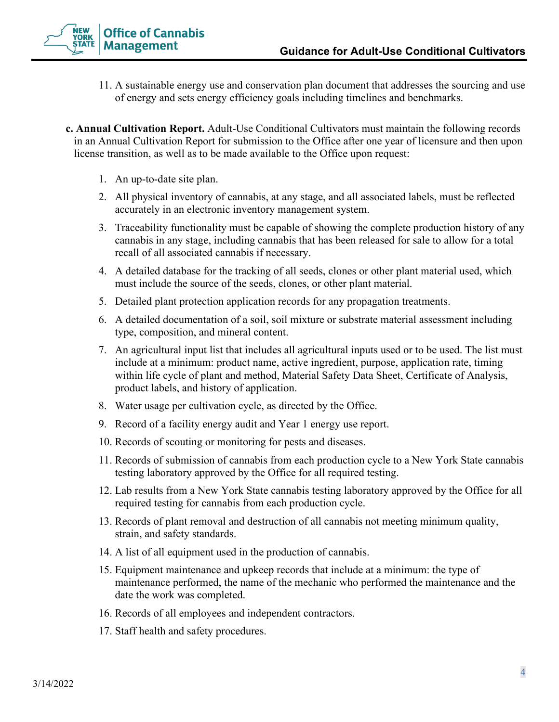

- 11. A sustainable energy use and conservation plan document that addresses the sourcing and use of energy and sets energy efficiency goals including timelines and benchmarks.
- **c. Annual Cultivation Report.** Adult-Use Conditional Cultivators must maintain the following records in an Annual Cultivation Report for submission to the Office after one year of licensure and then upon license transition, as well as to be made available to the Office upon request:
	- 1. An up-to-date site plan.
	- 2. All physical inventory of cannabis, at any stage, and all associated labels, must be reflected accurately in an electronic inventory management system.
	- 3. Traceability functionality must be capable of showing the complete production history of any cannabis in any stage, including cannabis that has been released for sale to allow for a total recall of all associated cannabis if necessary.
	- 4. A detailed database for the tracking of all seeds, clones or other plant material used, which must include the source of the seeds, clones, or other plant material.
	- 5. Detailed plant protection application records for any propagation treatments.
	- 6. A detailed documentation of a soil, soil mixture or substrate material assessment including type, composition, and mineral content.
	- 7. An agricultural input list that includes all agricultural inputs used or to be used. The list must include at a minimum: product name, active ingredient, purpose, application rate, timing within life cycle of plant and method, Material Safety Data Sheet, Certificate of Analysis, product labels, and history of application.
	- 8. Water usage per cultivation cycle, as directed by the Office.
	- 9. Record of a facility energy audit and Year 1 energy use report.
	- 10. Records of scouting or monitoring for pests and diseases.
	- 11. Records of submission of cannabis from each production cycle to a New York State cannabis testing laboratory approved by the Office for all required testing.
	- 12. Lab results from a New York State cannabis testing laboratory approved by the Office for all required testing for cannabis from each production cycle.
	- 13. Records of plant removal and destruction of all cannabis not meeting minimum quality, strain, and safety standards.
	- 14. A list of all equipment used in the production of cannabis.
	- 15. Equipment maintenance and upkeep records that include at a minimum: the type of maintenance performed, the name of the mechanic who performed the maintenance and the date the work was completed.
	- 16. Records of all employees and independent contractors.
	- 17. Staff health and safety procedures.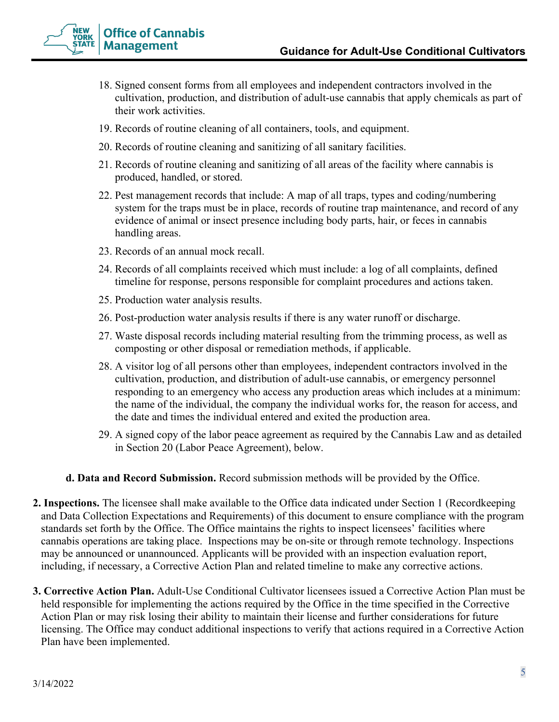

- 18. Signed consent forms from all employees and independent contractors involved in the cultivation, production, and distribution of adult-use cannabis that apply chemicals as part of their work activities.
- 19. Records of routine cleaning of all containers, tools, and equipment.
- 20. Records of routine cleaning and sanitizing of all sanitary facilities.
- 21. Records of routine cleaning and sanitizing of all areas of the facility where cannabis is produced, handled, or stored.
- 22. Pest management records that include: A map of all traps, types and coding/numbering system for the traps must be in place, records of routine trap maintenance, and record of any evidence of animal or insect presence including body parts, hair, or feces in cannabis handling areas.
- 23. Records of an annual mock recall.
- 24. Records of all complaints received which must include: a log of all complaints, defined timeline for response, persons responsible for complaint procedures and actions taken.
- 25. Production water analysis results.
- 26. Post-production water analysis results if there is any water runoff or discharge.
- 27. Waste disposal records including material resulting from the trimming process, as well as composting or other disposal or remediation methods, if applicable.
- 28. A visitor log of all persons other than employees, independent contractors involved in the cultivation, production, and distribution of adult-use cannabis, or emergency personnel responding to an emergency who access any production areas which includes at a minimum: the name of the individual, the company the individual works for, the reason for access, and the date and times the individual entered and exited the production area.
- 29. A signed copy of the labor peace agreement as required by the Cannabis Law and as detailed in Section 20 (Labor Peace Agreement), below.
- **d. Data and Record Submission.** Record submission methods will be provided by the Office.
- **2. Inspections.** The licensee shall make available to the Office data indicated under Section 1 (Recordkeeping and Data Collection Expectations and Requirements) of this document to ensure compliance with the program standards set forth by the Office. The Office maintains the rights to inspect licensees' facilities where cannabis operations are taking place. Inspections may be on-site or through remote technology. Inspections may be announced or unannounced. Applicants will be provided with an inspection evaluation report, including, if necessary, a Corrective Action Plan and related timeline to make any corrective actions.
- **3. Corrective Action Plan.** Adult-Use Conditional Cultivator licensees issued a Corrective Action Plan must be held responsible for implementing the actions required by the Office in the time specified in the Corrective Action Plan or may risk losing their ability to maintain their license and further considerations for future licensing. The Office may conduct additional inspections to verify that actions required in a Corrective Action Plan have been implemented.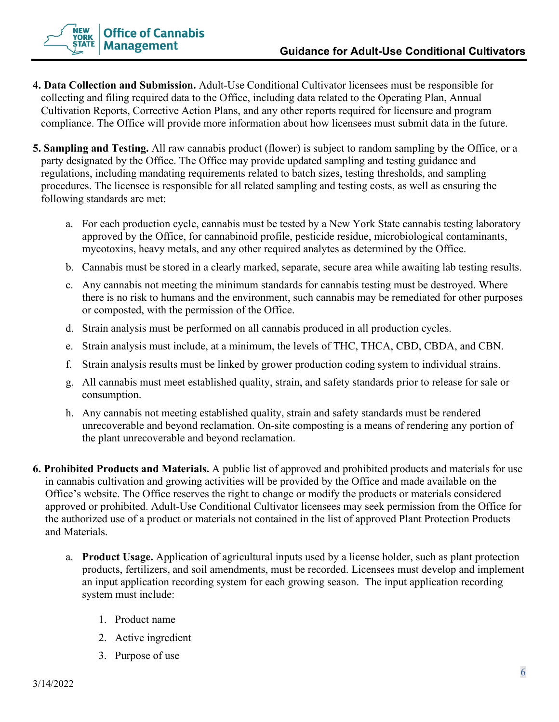

- **4. Data Collection and Submission.** Adult-Use Conditional Cultivator licensees must be responsible for collecting and filing required data to the Office, including data related to the Operating Plan, Annual Cultivation Reports, Corrective Action Plans, and any other reports required for licensure and program compliance. The Office will provide more information about how licensees must submit data in the future.
- **5. Sampling and Testing.** All raw cannabis product (flower) is subject to random sampling by the Office, or a party designated by the Office. The Office may provide updated sampling and testing guidance and regulations, including mandating requirements related to batch sizes, testing thresholds, and sampling procedures. The licensee is responsible for all related sampling and testing costs, as well as ensuring the following standards are met:
	- a. For each production cycle, cannabis must be tested by a New York State cannabis testing laboratory approved by the Office, for cannabinoid profile, pesticide residue, microbiological contaminants, mycotoxins, heavy metals, and any other required analytes as determined by the Office.
	- b. Cannabis must be stored in a clearly marked, separate, secure area while awaiting lab testing results.
	- c. Any cannabis not meeting the minimum standards for cannabis testing must be destroyed. Where there is no risk to humans and the environment, such cannabis may be remediated for other purposes or composted, with the permission of the Office.
	- d. Strain analysis must be performed on all cannabis produced in all production cycles.
	- e. Strain analysis must include, at a minimum, the levels of THC, THCA, CBD, CBDA, and CBN.
	- f. Strain analysis results must be linked by grower production coding system to individual strains.
	- g. All cannabis must meet established quality, strain, and safety standards prior to release for sale or consumption.
	- h. Any cannabis not meeting established quality, strain and safety standards must be rendered unrecoverable and beyond reclamation. On-site composting is a means of rendering any portion of the plant unrecoverable and beyond reclamation.
- **6. Prohibited Products and Materials.** A public list of approved and prohibited products and materials for use in cannabis cultivation and growing activities will be provided by the Office and made available on the Office's website. The Office reserves the right to change or modify the products or materials considered approved or prohibited. Adult-Use Conditional Cultivator licensees may seek permission from the Office for the authorized use of a product or materials not contained in the list of approved Plant Protection Products and Materials.
	- a. **Product Usage.** Application of agricultural inputs used by a license holder, such as plant protection products, fertilizers, and soil amendments, must be recorded. Licensees must develop and implement an input application recording system for each growing season. The input application recording system must include:
		- 1. Product name
		- 2. Active ingredient
		- 3. Purpose of use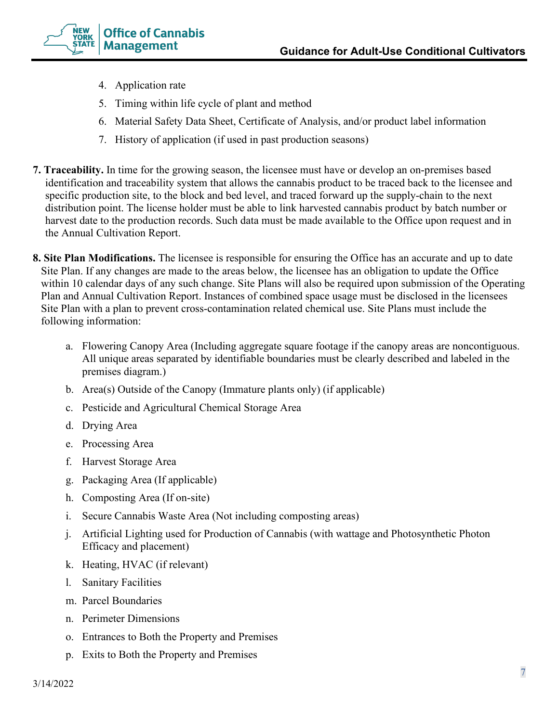

- 4. Application rate
- 5. Timing within life cycle of plant and method
- 6. Material Safety Data Sheet, Certificate of Analysis, and/or product label information
- 7. History of application (if used in past production seasons)
- **7. Traceability.** In time for the growing season, the licensee must have or develop an on-premises based identification and traceability system that allows the cannabis product to be traced back to the licensee and specific production site, to the block and bed level, and traced forward up the supply-chain to the next distribution point. The license holder must be able to link harvested cannabis product by batch number or harvest date to the production records. Such data must be made available to the Office upon request and in the Annual Cultivation Report.
- **8. Site Plan Modifications.** The licensee is responsible for ensuring the Office has an accurate and up to date Site Plan. If any changes are made to the areas below, the licensee has an obligation to update the Office within 10 calendar days of any such change. Site Plans will also be required upon submission of the Operating Plan and Annual Cultivation Report. Instances of combined space usage must be disclosed in the licensees Site Plan with a plan to prevent cross-contamination related chemical use. Site Plans must include the following information:
	- a. Flowering Canopy Area (Including aggregate square footage if the canopy areas are noncontiguous. All unique areas separated by identifiable boundaries must be clearly described and labeled in the premises diagram.)
	- b. Area(s) Outside of the Canopy (Immature plants only) (if applicable)
	- c. Pesticide and Agricultural Chemical Storage Area
	- d. Drying Area
	- e. Processing Area
	- f. Harvest Storage Area
	- g. Packaging Area (If applicable)
	- h. Composting Area (If on-site)
	- i. Secure Cannabis Waste Area (Not including composting areas)
	- j. Artificial Lighting used for Production of Cannabis (with wattage and Photosynthetic Photon Efficacy and placement)
	- k. Heating, HVAC (if relevant)
	- l. Sanitary Facilities
	- m. Parcel Boundaries
	- n. Perimeter Dimensions
	- o. Entrances to Both the Property and Premises
	- p. Exits to Both the Property and Premises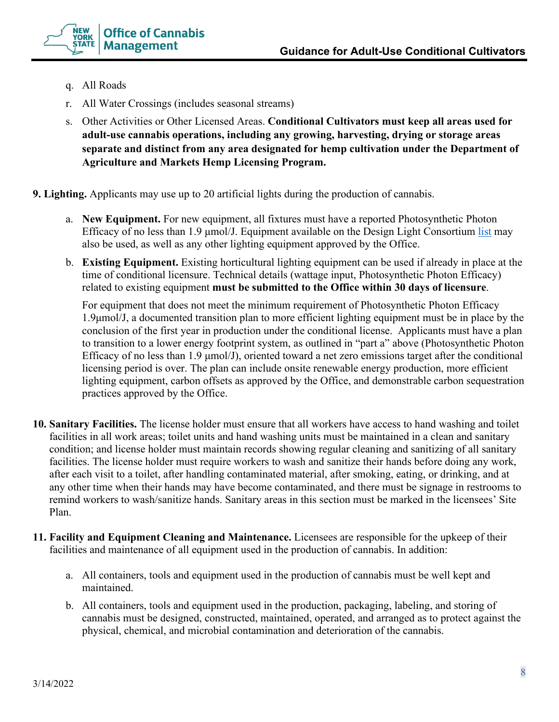

- q. All Roads
- r. All Water Crossings (includes seasonal streams)
- s. Other Activities or Other Licensed Areas. **Conditional Cultivators must keep all areas used for adult-use cannabis operations, including any growing, harvesting, drying or storage areas separate and distinct from any area designated for hemp cultivation under the Department of Agriculture and Markets Hemp Licensing Program.**
- **9. Lighting.** Applicants may use up to 20 artificial lights during the production of cannabis.
	- a. **New Equipment.** For new equipment, all fixtures must have a reported Photosynthetic Photon Efficacy of no less than 1.9 μmol/J. Equipment available on the Design Light Consortium [list](https://www.designlights.org/) may also be used, as well as any other lighting equipment approved by the Office.
	- b. **Existing Equipment.** Existing horticultural lighting equipment can be used if already in place at the time of conditional licensure. Technical details (wattage input, Photosynthetic Photon Efficacy) related to existing equipment **must be submitted to the Office within 30 days of licensure**.

For equipment that does not meet the minimum requirement of Photosynthetic Photon Efficacy 1.9μmol/J, a documented transition plan to more efficient lighting equipment must be in place by the conclusion of the first year in production under the conditional license. Applicants must have a plan to transition to a lower energy footprint system, as outlined in "part a" above (Photosynthetic Photon Efficacy of no less than 1.9 μmol/J), oriented toward a net zero emissions target after the conditional licensing period is over. The plan can include onsite renewable energy production, more efficient lighting equipment, carbon offsets as approved by the Office, and demonstrable carbon sequestration practices approved by the Office.

- **10. Sanitary Facilities.** The license holder must ensure that all workers have access to hand washing and toilet facilities in all work areas; toilet units and hand washing units must be maintained in a clean and sanitary condition; and license holder must maintain records showing regular cleaning and sanitizing of all sanitary facilities. The license holder must require workers to wash and sanitize their hands before doing any work, after each visit to a toilet, after handling contaminated material, after smoking, eating, or drinking, and at any other time when their hands may have become contaminated, and there must be signage in restrooms to remind workers to wash/sanitize hands. Sanitary areas in this section must be marked in the licensees' Site Plan.
- **11. Facility and Equipment Cleaning and Maintenance.** Licensees are responsible for the upkeep of their facilities and maintenance of all equipment used in the production of cannabis. In addition:
	- a. All containers, tools and equipment used in the production of cannabis must be well kept and maintained.
	- b. All containers, tools and equipment used in the production, packaging, labeling, and storing of cannabis must be designed, constructed, maintained, operated, and arranged as to protect against the physical, chemical, and microbial contamination and deterioration of the cannabis.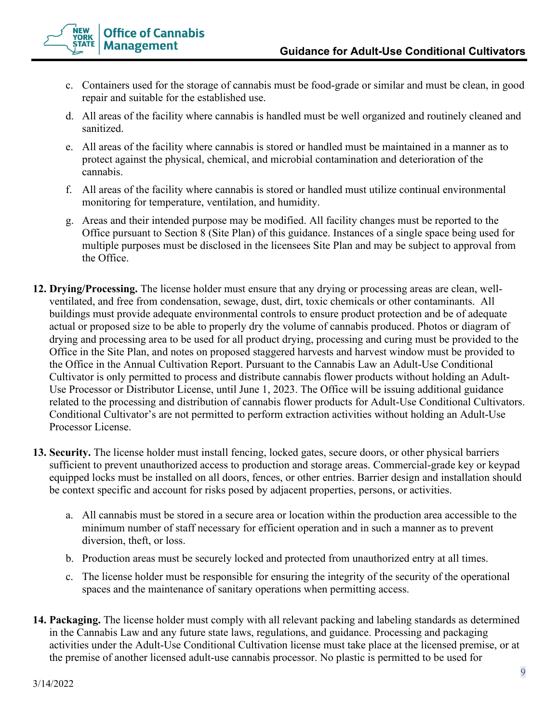

- c. Containers used for the storage of cannabis must be food-grade or similar and must be clean, in good repair and suitable for the established use.
- d. All areas of the facility where cannabis is handled must be well organized and routinely cleaned and sanitized.
- e. All areas of the facility where cannabis is stored or handled must be maintained in a manner as to protect against the physical, chemical, and microbial contamination and deterioration of the cannabis.
- f. All areas of the facility where cannabis is stored or handled must utilize continual environmental monitoring for temperature, ventilation, and humidity.
- g. Areas and their intended purpose may be modified. All facility changes must be reported to the Office pursuant to Section 8 (Site Plan) of this guidance. Instances of a single space being used for multiple purposes must be disclosed in the licensees Site Plan and may be subject to approval from the Office.
- **12. Drying/Processing.** The license holder must ensure that any drying or processing areas are clean, wellventilated, and free from condensation, sewage, dust, dirt, toxic chemicals or other contaminants. All buildings must provide adequate environmental controls to ensure product protection and be of adequate actual or proposed size to be able to properly dry the volume of cannabis produced. Photos or diagram of drying and processing area to be used for all product drying, processing and curing must be provided to the Office in the Site Plan, and notes on proposed staggered harvests and harvest window must be provided to the Office in the Annual Cultivation Report. Pursuant to the Cannabis Law an Adult-Use Conditional Cultivator is only permitted to process and distribute cannabis flower products without holding an Adult-Use Processor or Distributor License, until June 1, 2023. The Office will be issuing additional guidance related to the processing and distribution of cannabis flower products for Adult-Use Conditional Cultivators. Conditional Cultivator's are not permitted to perform extraction activities without holding an Adult-Use Processor License.
- **13. Security.** The license holder must install fencing, locked gates, secure doors, or other physical barriers sufficient to prevent unauthorized access to production and storage areas. Commercial-grade key or keypad equipped locks must be installed on all doors, fences, or other entries. Barrier design and installation should be context specific and account for risks posed by adjacent properties, persons, or activities.
	- a. All cannabis must be stored in a secure area or location within the production area accessible to the minimum number of staff necessary for efficient operation and in such a manner as to prevent diversion, theft, or loss.
	- b. Production areas must be securely locked and protected from unauthorized entry at all times.
	- c. The license holder must be responsible for ensuring the integrity of the security of the operational spaces and the maintenance of sanitary operations when permitting access.
- **14. Packaging.** The license holder must comply with all relevant packing and labeling standards as determined in the Cannabis Law and any future state laws, regulations, and guidance. Processing and packaging activities under the Adult-Use Conditional Cultivation license must take place at the licensed premise, or at the premise of another licensed adult-use cannabis processor. No plastic is permitted to be used for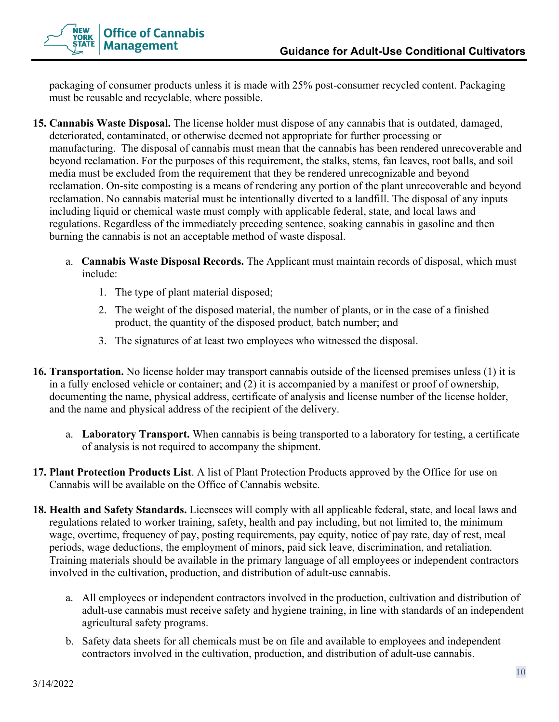

packaging of consumer products unless it is made with 25% post-consumer recycled content. Packaging must be reusable and recyclable, where possible.

- **15. Cannabis Waste Disposal.** The license holder must dispose of any cannabis that is outdated, damaged, deteriorated, contaminated, or otherwise deemed not appropriate for further processing or manufacturing. The disposal of cannabis must mean that the cannabis has been rendered unrecoverable and beyond reclamation. For the purposes of this requirement, the stalks, stems, fan leaves, root balls, and soil media must be excluded from the requirement that they be rendered unrecognizable and beyond reclamation. On-site composting is a means of rendering any portion of the plant unrecoverable and beyond reclamation. No cannabis material must be intentionally diverted to a landfill. The disposal of any inputs including liquid or chemical waste must comply with applicable federal, state, and local laws and regulations. Regardless of the immediately preceding sentence, soaking cannabis in gasoline and then burning the cannabis is not an acceptable method of waste disposal.
	- a. **Cannabis Waste Disposal Records.** The Applicant must maintain records of disposal, which must include:
		- 1. The type of plant material disposed;
		- 2. The weight of the disposed material, the number of plants, or in the case of a finished product, the quantity of the disposed product, batch number; and
		- 3. The signatures of at least two employees who witnessed the disposal.
- **16. Transportation.** No license holder may transport cannabis outside of the licensed premises unless (1) it is in a fully enclosed vehicle or container; and (2) it is accompanied by a manifest or proof of ownership, documenting the name, physical address, certificate of analysis and license number of the license holder, and the name and physical address of the recipient of the delivery.
	- a. **Laboratory Transport.** When cannabis is being transported to a laboratory for testing, a certificate of analysis is not required to accompany the shipment.
- **17. Plant Protection Products List**. A list of Plant Protection Products approved by the Office for use on Cannabis will be available on the Office of Cannabis website.
- **18. Health and Safety Standards.** Licensees will comply with all applicable federal, state, and local laws and regulations related to worker training, safety, health and pay including, but not limited to, the minimum wage, overtime, frequency of pay, posting requirements, pay equity, notice of pay rate, day of rest, meal periods, wage deductions, the employment of minors, paid sick leave, discrimination, and retaliation. Training materials should be available in the primary language of all employees or independent contractors involved in the cultivation, production, and distribution of adult-use cannabis.
	- a. All employees or independent contractors involved in the production, cultivation and distribution of adult-use cannabis must receive safety and hygiene training, in line with standards of an independent agricultural safety programs.
	- b. Safety data sheets for all chemicals must be on file and available to employees and independent contractors involved in the cultivation, production, and distribution of adult-use cannabis.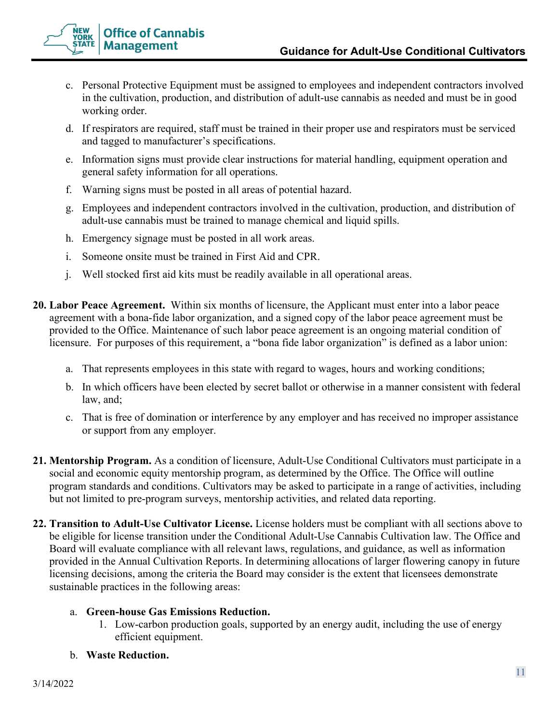

- c. Personal Protective Equipment must be assigned to employees and independent contractors involved in the cultivation, production, and distribution of adult-use cannabis as needed and must be in good working order.
- d. If respirators are required, staff must be trained in their proper use and respirators must be serviced and tagged to manufacturer's specifications.
- e. Information signs must provide clear instructions for material handling, equipment operation and general safety information for all operations.
- f. Warning signs must be posted in all areas of potential hazard.
- g. Employees and independent contractors involved in the cultivation, production, and distribution of adult-use cannabis must be trained to manage chemical and liquid spills.
- h. Emergency signage must be posted in all work areas.
- i. Someone onsite must be trained in First Aid and CPR.
- j. Well stocked first aid kits must be readily available in all operational areas.
- **20. Labor Peace Agreement.** Within six months of licensure, the Applicant must enter into a labor peace agreement with a bona-fide labor organization, and a signed copy of the labor peace agreement must be provided to the Office. Maintenance of such labor peace agreement is an ongoing material condition of licensure. For purposes of this requirement, a "bona fide labor organization" is defined as a labor union:
	- a. That represents employees in this state with regard to wages, hours and working conditions;
	- b. In which officers have been elected by secret ballot or otherwise in a manner consistent with federal law, and;
	- c. That is free of domination or interference by any employer and has received no improper assistance or support from any employer.
- **21. Mentorship Program.** As a condition of licensure, Adult-Use Conditional Cultivators must participate in a social and economic equity mentorship program, as determined by the Office. The Office will outline program standards and conditions. Cultivators may be asked to participate in a range of activities, including but not limited to pre-program surveys, mentorship activities, and related data reporting.
- **22. Transition to Adult-Use Cultivator License.** License holders must be compliant with all sections above to be eligible for license transition under the Conditional Adult-Use Cannabis Cultivation law. The Office and Board will evaluate compliance with all relevant laws, regulations, and guidance, as well as information provided in the Annual Cultivation Reports. In determining allocations of larger flowering canopy in future licensing decisions, among the criteria the Board may consider is the extent that licensees demonstrate sustainable practices in the following areas:

# a. **Green-house Gas Emissions Reduction.**

1. Low-carbon production goals, supported by an energy audit, including the use of energy efficient equipment.

# b. **Waste Reduction.**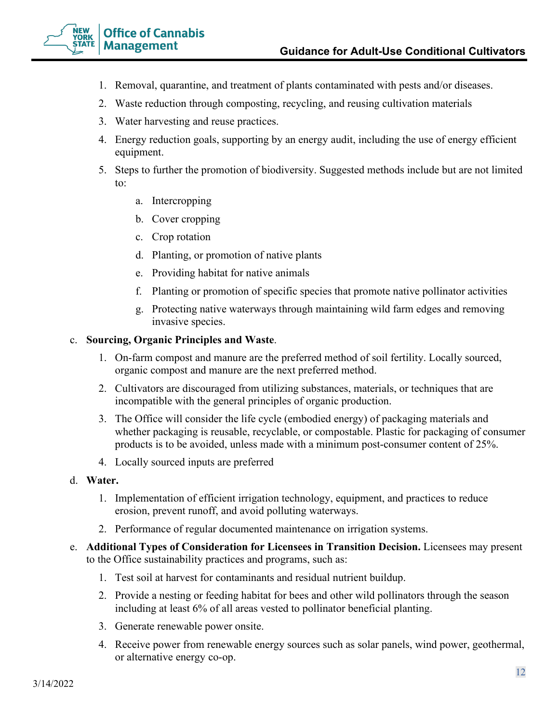

- 1. Removal, quarantine, and treatment of plants contaminated with pests and/or diseases.
- 2. Waste reduction through composting, recycling, and reusing cultivation materials
- 3. Water harvesting and reuse practices.
- 4. Energy reduction goals, supporting by an energy audit, including the use of energy efficient equipment.
- 5. Steps to further the promotion of biodiversity. Suggested methods include but are not limited to:
	- a. Intercropping
	- b. Cover cropping
	- c. Crop rotation
	- d. Planting, or promotion of native plants
	- e. Providing habitat for native animals
	- f. Planting or promotion of specific species that promote native pollinator activities
	- g. Protecting native waterways through maintaining wild farm edges and removing invasive species.

### c. **Sourcing, Organic Principles and Waste**.

- 1. On-farm compost and manure are the preferred method of soil fertility. Locally sourced, organic compost and manure are the next preferred method.
- 2. Cultivators are discouraged from utilizing substances, materials, or techniques that are incompatible with the general principles of organic production.
- 3. The Office will consider the life cycle (embodied energy) of packaging materials and whether packaging is reusable, recyclable, or compostable. Plastic for packaging of consumer products is to be avoided, unless made with a minimum post-consumer content of 25%.
- 4. Locally sourced inputs are preferred
- d. **Water.**
	- 1. Implementation of efficient irrigation technology, equipment, and practices to reduce erosion, prevent runoff, and avoid polluting waterways.
	- 2. Performance of regular documented maintenance on irrigation systems.
- e. **Additional Types of Consideration for Licensees in Transition Decision.** Licensees may present to the Office sustainability practices and programs, such as:
	- 1. Test soil at harvest for contaminants and residual nutrient buildup.
	- 2. Provide a nesting or feeding habitat for bees and other wild pollinators through the season including at least 6% of all areas vested to pollinator beneficial planting.
	- 3. Generate renewable power onsite.
	- 4. Receive power from renewable energy sources such as solar panels, wind power, geothermal, or alternative energy co-op.